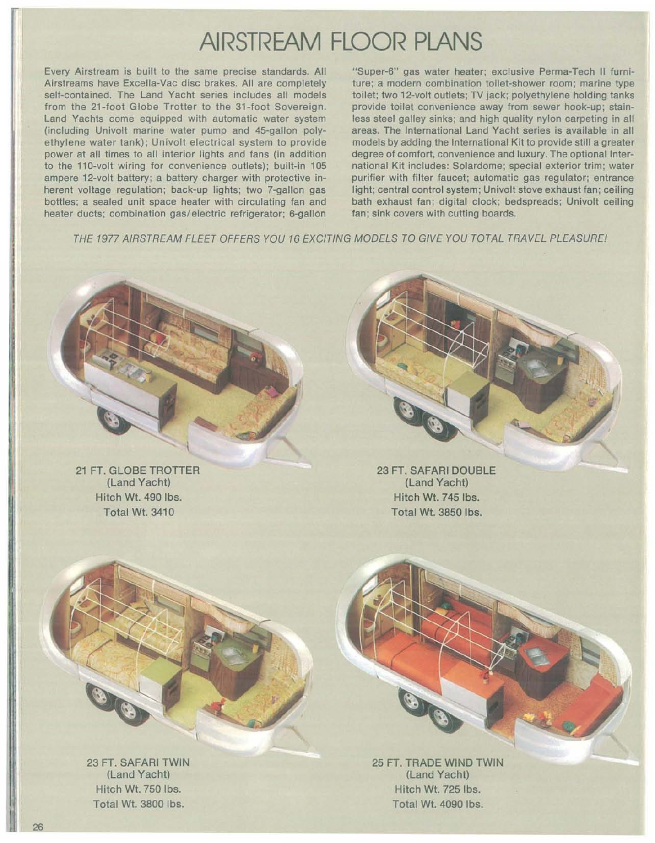## **AIRSTREAM FLOOR PLANS**

Every Airstream is built to the same precise standards. All Airstreams have Excella-Vac disc brakes. All are completely self-contained. The Land Yacht series includes all models from the 21-foot Globe Trotter to the 31-foot Sovereign. Land Yachts come equipped with automatic water system (including Univolt marine water pump and 45-gallon polyethylene water tank); Univolt electrical system to provide power at all times to all interior lights and fans (in addition to the 110-volt wiring for convenience outlets); built-in 105 ampere 12-volt battery; a battery charger with protective inherent voltage regulation; back-up lights; two 7-gallon gas bottles; a sealed unit space heater with circulating fan and heater ducts; combination gas/electric refrigerator; 6-gallon

"Super-6" gas water heater; exclusive Perma-Tech II furniture; a modern combination toilet-shower room; marine type toilet; two 12-volt outlets; TV jack; polyethylene holding tanks provide toilet convenience away from sewer hook-up; stainless steel galley sinks; and high quality nylon carpeting in all areas. The International Land Yacht series is available in all models by adding the International Kit to provide still a greater degree of comfort, convenience and luxury. The optional International Kit includes: Solardome; special exterior trim; water purifier with filter faucet; automatic gas regulator; entrance light; central control system; Univolt stove exhaust fan; ceiling bath exhaust fan; digital clock; bedspreads; Univolt ceiling fan; sink covers with cutting boards.

THE 1977 AIRSTREAM FLEET OFFERS YOU 16 EXCITING MODELS TO GIVE YOU TOTAL TRAVEL PLEASURE!

21 FT. GLOBE TROTTER (Land Yacht) Hitch Wt. 490 Ibs. Total Wt. 3410

23 FT. SAFARI DOUBLE (Land Yacht) Hitch Wt. 745 Ibs. Total Wt. 3850 Ibs.

23 FT. SAFARI TWIN (Land Yacht) Hitch Wt. 750 Ibs. Total Wt. 3800 Ibs.

25 FT. TRADE WIND TWIN (Land Yacht) Hitch Wt. 725 Ibs. Total Wt. 4090 Ibs.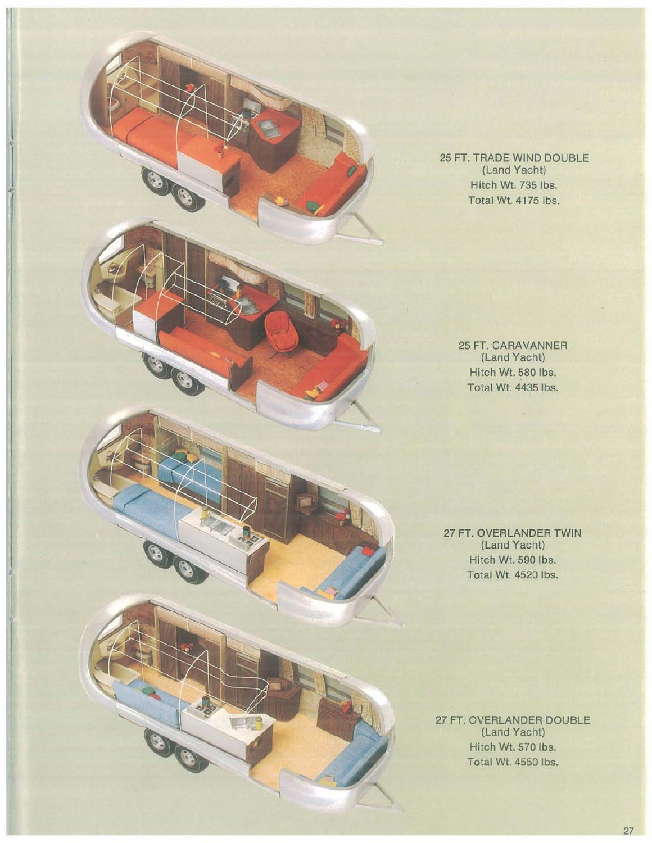25 FT. TRADE WIND DOUBLE (Land Yacht) Hitch Wt. 735 Ibs. Total Wt. 4175 lbs.

O

OG

a

25 FT. CARAVANNER (Land Yacht) Hitch Wt. 580 Ibs. Total Wt. 4435 lbs.

27 FT. OVERLANDER TWIN (Land Yacht) Hitch Wt. 590 Ibs. Total Wt. 4520 Ibs.

27 FT. OVERLANDER DOUBLE (Land Yacht) Hitch Wt. 570 Ibs. Total Wt. 4550 Ibs.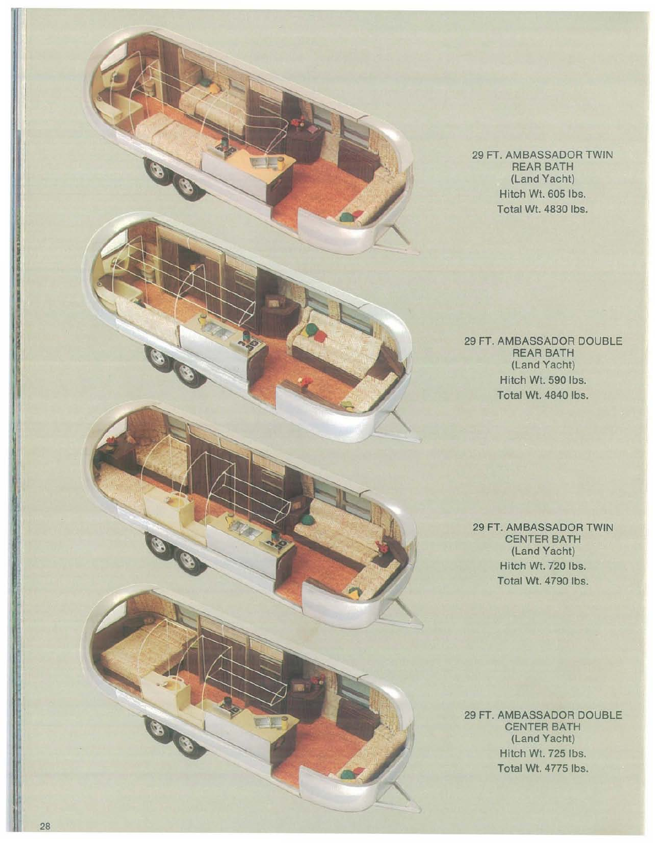29 FT. AMBASSADOR TWIN REAR BATH (Land Yacht) Hitch Wt. 605 Ibs. Total Wt. 4830 Ibs.

29 FT. AMBASSADOR DOUBLE REAR BATH (Land Yacht) Hitch Wt. 590 Ibs. Total Wt. 4840 Ibs.

29 FT. AMBASSADOR TWIN CENTER BATH (Land Yacht) Hitch Wt. 720 Ibs. Total Wt. 4790 Ibs.

29 FT. AMBASSADOR DOUBLE CENTER BATH (Land Yacht) Hitch Wt. 725 Ibs. Total Wt. 4775 Ibs.